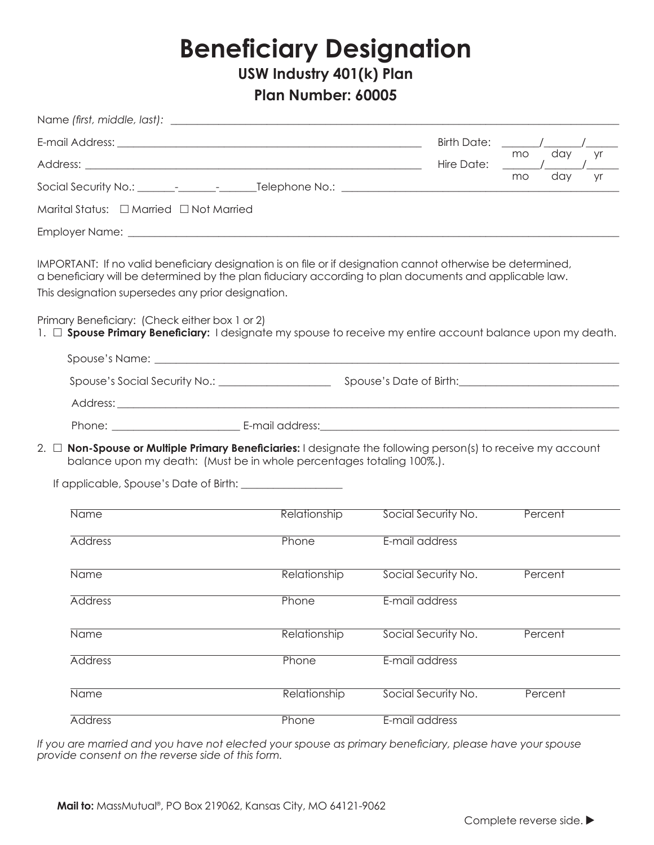## **Beneficiary Designation**

USW Industry 401(k) Plan

## Plan Number: 60005

|                                                                                                                                                                                                                                                                                                                               |                                                                                                                                                                                                                                | <b>Birth Date:</b>  |                 |
|-------------------------------------------------------------------------------------------------------------------------------------------------------------------------------------------------------------------------------------------------------------------------------------------------------------------------------|--------------------------------------------------------------------------------------------------------------------------------------------------------------------------------------------------------------------------------|---------------------|-----------------|
|                                                                                                                                                                                                                                                                                                                               |                                                                                                                                                                                                                                | Hire Date:          | day<br>mo<br>yr |
|                                                                                                                                                                                                                                                                                                                               |                                                                                                                                                                                                                                |                     | day<br>mo<br>yr |
| Marital Status: □ Married □ Not Married                                                                                                                                                                                                                                                                                       |                                                                                                                                                                                                                                |                     |                 |
|                                                                                                                                                                                                                                                                                                                               |                                                                                                                                                                                                                                |                     |                 |
| IMPORTANT: If no valid beneficiary designation is on file or if designation cannot otherwise be determined,<br>a beneficiary will be determined by the plan fiduciary according to plan documents and applicable law.<br>This designation supersedes any prior designation.<br>Primary Beneficiary: (Check either box 1 or 2) |                                                                                                                                                                                                                                |                     |                 |
| 1. $\Box$ Spouse Primary Beneficiary: I designate my spouse to receive my entire account balance upon my death.                                                                                                                                                                                                               |                                                                                                                                                                                                                                |                     |                 |
|                                                                                                                                                                                                                                                                                                                               |                                                                                                                                                                                                                                |                     |                 |
|                                                                                                                                                                                                                                                                                                                               |                                                                                                                                                                                                                                |                     |                 |
|                                                                                                                                                                                                                                                                                                                               |                                                                                                                                                                                                                                |                     |                 |
|                                                                                                                                                                                                                                                                                                                               | Phone: E-mail address: E-mail: et al. 2014. The et al. 2014. The ethnic state of the ethnic state of the ethnic state of the ethnic state of the ethnic state of the ethnic state of the ethnic state of the ethnic state of t |                     |                 |
| 2. $\Box$ Non-Spouse or Multiple Primary Beneficiaries: I designate the following person(s) to receive my account<br>balance upon my death: (Must be in whole percentages totaling 100%.).                                                                                                                                    |                                                                                                                                                                                                                                |                     |                 |
| <b>Name</b>                                                                                                                                                                                                                                                                                                                   | Relationship                                                                                                                                                                                                                   | Social Security No. | Percent         |
| <b>Address</b>                                                                                                                                                                                                                                                                                                                | Phone                                                                                                                                                                                                                          | E-mail address      |                 |
| <b>Name</b>                                                                                                                                                                                                                                                                                                                   | Relationship                                                                                                                                                                                                                   | Social Security No. | Percent         |
| <b>Address</b>                                                                                                                                                                                                                                                                                                                | Phone                                                                                                                                                                                                                          | E-mail address      |                 |
| <b>Name</b>                                                                                                                                                                                                                                                                                                                   | Relationship                                                                                                                                                                                                                   | Social Security No. | Percent         |
| <b>Address</b>                                                                                                                                                                                                                                                                                                                | Phone                                                                                                                                                                                                                          | E-mail address      |                 |
| Name                                                                                                                                                                                                                                                                                                                          | Relationship                                                                                                                                                                                                                   | Social Security No. | Percent         |
| <b>Address</b>                                                                                                                                                                                                                                                                                                                | Phone                                                                                                                                                                                                                          | E-mail address      |                 |

If you are married and you have not elected your spouse as primary beneficiary, please have your spouse provide consent on the reverse side of this form.